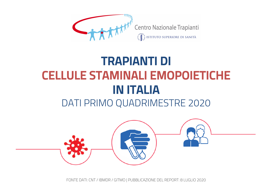

### **TRAPIANTI DI CELLULE STAMINALI EMOPOIETICHE IN ITALIA**  DATI PRIMO QUADRIMESTRE 2020

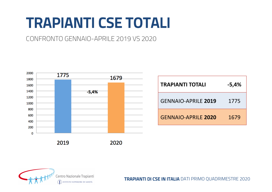# **TRAPIANTI CSE TOTALI**

CONFRONTO GENNAIO-APRILE 2019 VS 2020



| <b>TRAPIANTI TOTALI</b>    | $-5,4%$ |
|----------------------------|---------|
| <b>GENNAIO-APRILE 2019</b> | 1775    |
| <b>GENNAIO-APRILE 2020</b> | 1679    |

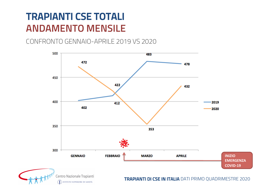### **TRAPIANTI CSE TOTALI ANDAMENTO MENSILE**

CONFRONTO GENNAIO-APRILE 2019 VS 2020

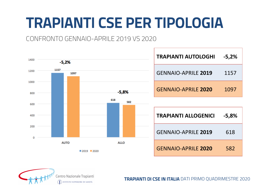# **TRAPIANTI CSE PER TIPOLOGIA**

#### CONFRONTO GENNAIO-APRILE 2019 VS 2020



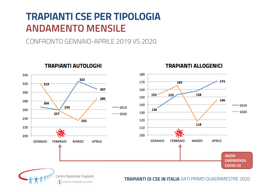### **TRAPIANTI CSE PER TIPOLOGIA ANDAMENTO MENSILE**

CONFRONTO GENNAIO-APRILE 2019 VS 2020



**TRAPIANTI AUTOLOGHI** 

 $\left\{\textcolor{blue}{\bullet}\right\}$  istituto superiore di Sanità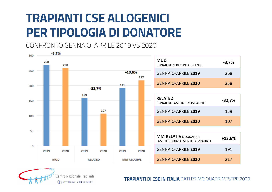# **TRAPIANTI CSE ALLOGENICI PER TIPOLOGIA DI DONATORE**

CONFRONTO GENNAIO-APRILE 2019 VS 2020





Centro Nazionale Trapianti  $\tilde{\mathbf{F}}$  istituto superiore di Sanità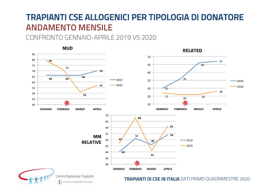#### **TRAPIANTI CSE ALLOGENICI PER TIPOLOGIA DI DONATORE ANDAMENTO MENSILE**

CONFRONTO GENNAIO-APRILE 2019 VS 2020

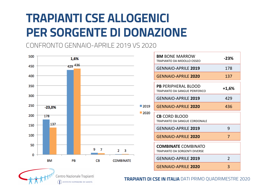# **TRAPIANTI CSE ALLOGENICI PER SORGENTE DI DONAZIONE**

CONFRONTO GENNAIO-APRILE 2019 VS 2020





Centro Nazionale Trapianti  $\left\{\textcolor{blue}{\bullet}\right\}$  istituto superiore di Sanità